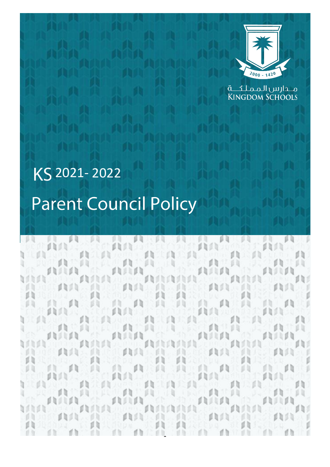

مـــدارس الـمـمـلـحَـــة **KINGDOM SCHOOLS** 

# 2021- 2022**Parent Council Policy**

日日 60  $f$  in  $f$  in  $f$ d b **SUARCHE CONTACT** 山 mining A Suithe **ALLIN CAR SECURITIE** 貝 FRANKR ANAIA Fhilidh  $\frac{1}{2}$  $A^{\prime\prime}$   $A^{\prime\prime}$ ۵ù 血血管 υn m **CODY** ODO O b ۵b 出点的过去式和过去分词  $\mathbb{R}$   $\mathbb{R}$ 長期 AA 出售面景 db Ø II 西兰賞 рŋ milin min **ANSIAN** AAAAAA HAT in provincia de parte de la provincia AN AN AN h dh AATATAT 血血血血 曲向 Tri da  $\mathcal{A}$ 0h n 11 ß 医自 Яã 貝  $63$ 其中, 二 貞介 70 Q 山 ØЛ 貝貝 1910年 p q 60 AND LICENS AM DIANA (1) 我们的 我们的 我们的 Ø.  $\mathbb{R}$ **TAG PERMIT** min ANA C min AACACAC AAT AT  $1111.71$ 93 D ď li  $(1.3)$ 1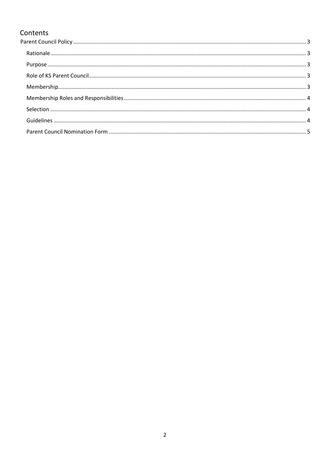# Contents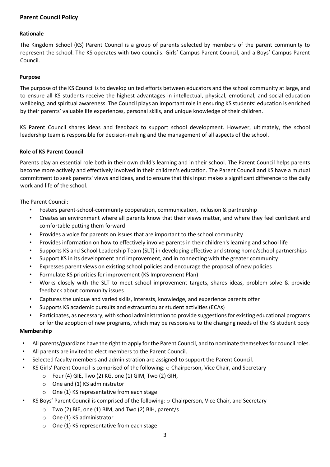# <span id="page-2-0"></span>**Parent Council Policy**

#### <span id="page-2-1"></span>**Rationale**

The Kingdom School (KS) Parent Council is a group of parents selected by members of the parent community to represent the school. The KS operates with two councils: Girls' Campus Parent Council, and a Boys' Campus Parent Council.

#### <span id="page-2-2"></span>**Purpose**

The purpose of the KS Council is to develop united efforts between educators and the school community at large, and to ensure all KS students receive the highest advantages in intellectual, physical, emotional, and social education wellbeing, and spiritual awareness. The Council plays an important role in ensuring KS students' education is enriched by their parents' valuable life experiences, personal skills, and unique knowledge of their children.

KS Parent Council shares ideas and feedback to support school development. However, ultimately, the school leadership team is responsible for decision-making and the management of all aspects of the school.

#### <span id="page-2-3"></span>**Role of KS Parent Council**

Parents play an essential role both in their own child's learning and in their school. The Parent Council helps parents become more actively and effectively involved in their children's education. The Parent Council and KS have a mutual commitment to seek parents' views and ideas, and to ensure that this input makes a significant difference to the daily work and life of the school.

The Parent Council:

- Fosters parent-school-community cooperation, communication, inclusion & partnership
- Creates an environment where all parents know that their views matter, and where they feel confident and comfortable putting them forward
- Provides a voice for parents on issues that are important to the school community
- Provides information on how to effectively involve parents in their children's learning and school life
- Supports KS and School Leadership Team (SLT) in developing effective and strong home/school partnerships
- Support KS in its development and improvement, and in connecting with the greater community
- Expresses parent views on existing school policies and encourage the proposal of new policies
- Formulate KS priorities for improvement (KS Improvement Plan)
- Works closely with the SLT to meet school improvement targets, shares ideas, problem-solve & provide feedback about community issues
- Captures the unique and varied skills, interests, knowledge, and experience parents offer
- Supports KS academic pursuits and extracurricular student activities (ECAs)
- Participates, as necessary, with school administration to provide suggestions for existing educational programs or for the adoption of new programs, which may be responsive to the changing needs of the KS student body

#### <span id="page-2-4"></span>**Membership**

- All parents/guardians have the right to apply for the Parent Council, and to nominate themselves for council roles.
- All parents are invited to elect members to the Parent Council.
- Selected faculty members and administration are assigned to support the Parent Council.
	- KS Girls' Parent Council is comprised of the following: o Chairperson, Vice Chair, and Secretary
		- o Four (4) GIE, Two (2) KG, one (1) GIM, Two (2) GIH,
		- o One and (1) KS administrator
		- o One (1) KS representative from each stage
- KS Boys' Parent Council is comprised of the following: o Chairperson, Vice Chair, and Secretary
	- o Two (2) BIE, one (1) BIM, and Two (2) BIH, parent/s
	- o One (1) KS administrator
	- o One (1) KS representative from each stage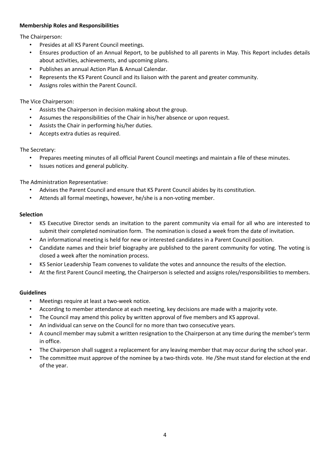### <span id="page-3-0"></span>**Membership Roles and Responsibilities**

The Chairperson:

- Presides at all KS Parent Council meetings.
- Ensures production of an Annual Report, to be published to all parents in May. This Report includes details about activities, achievements, and upcoming plans.
- Publishes an annual Action Plan & Annual Calendar.
- Represents the KS Parent Council and its liaison with the parent and greater community.
- Assigns roles within the Parent Council.

### The Vice Chairperson:

- Assists the Chairperson in decision making about the group.
- Assumes the responsibilities of the Chair in his/her absence or upon request.
- Assists the Chair in performing his/her duties.
- Accepts extra duties as required.

# The Secretary:

- Prepares meeting minutes of all official Parent Council meetings and maintain a file of these minutes.
- Issues notices and general publicity.

The Administration Representative:

- Advises the Parent Council and ensure that KS Parent Council abides by its constitution.
- Attends all formal meetings, however, he/she is a non-voting member.

#### <span id="page-3-1"></span>**Selection**

- KS Executive Director sends an invitation to the parent community via email for all who are interested to submit their completed nomination form. The nomination is closed a week from the date of invitation.
- An informational meeting is held for new or interested candidates in a Parent Council position.
- Candidate names and their brief biography are published to the parent community for voting. The voting is closed a week after the nomination process.
- KS Senior Leadership Team convenes to validate the votes and announce the results of the election.
- At the first Parent Council meeting, the Chairperson is selected and assigns roles/responsibilities to members.

# <span id="page-3-2"></span>**Guidelines**

- Meetings require at least a two-week notice.
- According to member attendance at each meeting, key decisions are made with a majority vote.
- The Council may amend this policy by written approval of five members and KS approval.
- An individual can serve on the Council for no more than two consecutive years.
- A council member may submit a written resignation to the Chairperson at any time during the member's term in office.
- The Chairperson shall suggest a replacement for any leaving member that may occur during the school year.
- The committee must approve of the nominee by a two-thirds vote. He /She must stand for election at the end of the year.